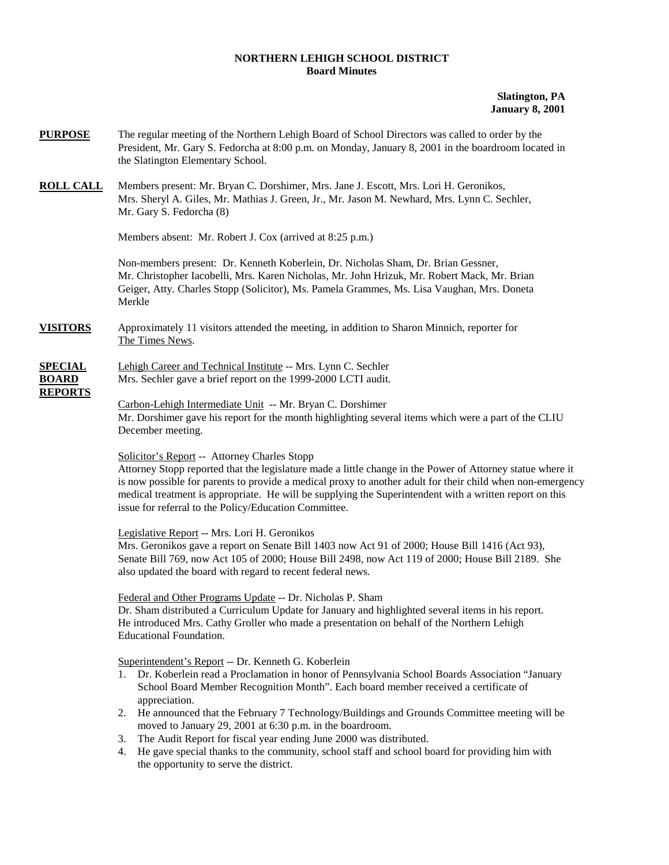### **NORTHERN LEHIGH SCHOOL DISTRICT Board Minutes**

# **Slatington, PA January 8, 2001**

- **PURPOSE** The regular meeting of the Northern Lehigh Board of School Directors was called to order by the President, Mr. Gary S. Fedorcha at 8:00 p.m. on Monday, January 8, 2001 in the boardroom located in the Slatington Elementary School.
- **ROLL CALL** Members present: Mr. Bryan C. Dorshimer, Mrs. Jane J. Escott, Mrs. Lori H. Geronikos, Mrs. Sheryl A. Giles, Mr. Mathias J. Green, Jr., Mr. Jason M. Newhard, Mrs. Lynn C. Sechler, Mr. Gary S. Fedorcha (8)

Members absent: Mr. Robert J. Cox (arrived at 8:25 p.m.)

Non-members present: Dr. Kenneth Koberlein, Dr. Nicholas Sham, Dr. Brian Gessner, Mr. Christopher Iacobelli, Mrs. Karen Nicholas, Mr. John Hrizuk, Mr. Robert Mack, Mr. Brian Geiger, Atty. Charles Stopp (Solicitor), Ms. Pamela Grammes, Ms. Lisa Vaughan, Mrs. Doneta Merkle

**VISITORS** Approximately 11 visitors attended the meeting, in addition to Sharon Minnich, reporter for The Times News.

# **SPECIAL** Lehigh Career and Technical Institute -- Mrs. Lynn C. Sechler **BOARD** Mrs. Sechler gave a brief report on the 1999-2000 LCTI audit. **REPORTS**

Carbon-Lehigh Intermediate Unit -- Mr. Bryan C. Dorshimer Mr. Dorshimer gave his report for the month highlighting several items which were a part of the CLIU December meeting.

## Solicitor's Report -- Attorney Charles Stopp

Attorney Stopp reported that the legislature made a little change in the Power of Attorney statue where it is now possible for parents to provide a medical proxy to another adult for their child when non-emergency medical treatment is appropriate. He will be supplying the Superintendent with a written report on this issue for referral to the Policy/Education Committee.

Legislative Report -- Mrs. Lori H. Geronikos

Mrs. Geronikos gave a report on Senate Bill 1403 now Act 91 of 2000; House Bill 1416 (Act 93), Senate Bill 769, now Act 105 of 2000; House Bill 2498, now Act 119 of 2000; House Bill 2189. She also updated the board with regard to recent federal news.

### Federal and Other Programs Update -- Dr. Nicholas P. Sham

Dr. Sham distributed a Curriculum Update for January and highlighted several items in his report. He introduced Mrs. Cathy Groller who made a presentation on behalf of the Northern Lehigh Educational Foundation.

Superintendent's Report -- Dr. Kenneth G. Koberlein

- 1. Dr. Koberlein read a Proclamation in honor of Pennsylvania School Boards Association "January School Board Member Recognition Month". Each board member received a certificate of appreciation.
- 2. He announced that the February 7 Technology/Buildings and Grounds Committee meeting will be moved to January 29, 2001 at 6:30 p.m. in the boardroom.
- 3. The Audit Report for fiscal year ending June 2000 was distributed.
- 4. He gave special thanks to the community, school staff and school board for providing him with the opportunity to serve the district.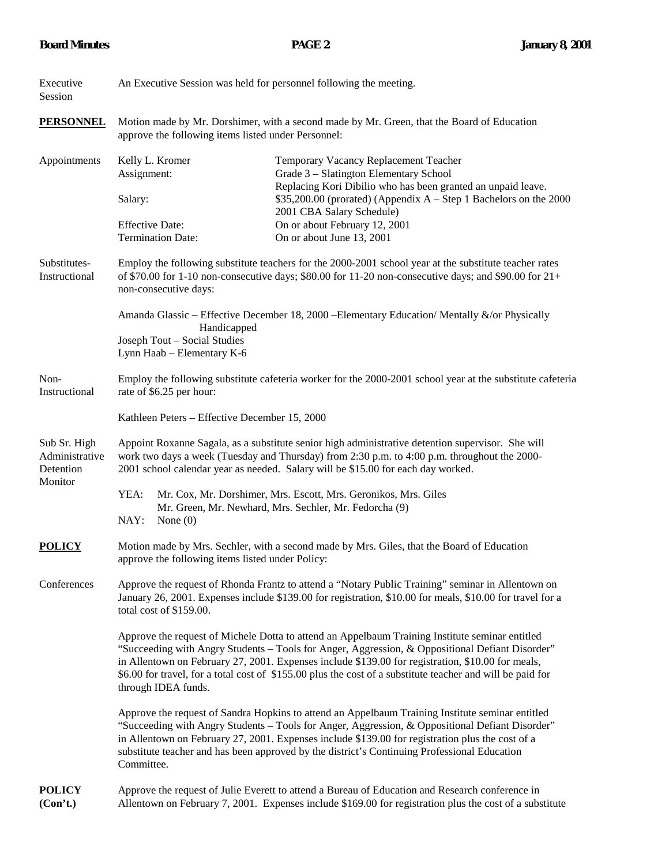| Executive<br>Session                                   | An Executive Session was held for personnel following the meeting.                                                                                                                                                                                                                                                                                                                                                                           |                          |                                                                                                                                                                                                            |  |  |
|--------------------------------------------------------|----------------------------------------------------------------------------------------------------------------------------------------------------------------------------------------------------------------------------------------------------------------------------------------------------------------------------------------------------------------------------------------------------------------------------------------------|--------------------------|------------------------------------------------------------------------------------------------------------------------------------------------------------------------------------------------------------|--|--|
| <b>PERSONNEL</b>                                       | Motion made by Mr. Dorshimer, with a second made by Mr. Green, that the Board of Education<br>approve the following items listed under Personnel:                                                                                                                                                                                                                                                                                            |                          |                                                                                                                                                                                                            |  |  |
| Appointments                                           | Kelly L. Kromer<br>Assignment:<br>Salary:                                                                                                                                                                                                                                                                                                                                                                                                    |                          | Temporary Vacancy Replacement Teacher<br>Grade 3 - Slatington Elementary School<br>Replacing Kori Dibilio who has been granted an unpaid leave.                                                            |  |  |
|                                                        |                                                                                                                                                                                                                                                                                                                                                                                                                                              |                          | $$35,200.00$ (prorated) (Appendix A – Step 1 Bachelors on the 2000<br>2001 CBA Salary Schedule)                                                                                                            |  |  |
|                                                        | <b>Effective Date:</b>                                                                                                                                                                                                                                                                                                                                                                                                                       | <b>Termination Date:</b> | On or about February 12, 2001<br>On or about June 13, 2001                                                                                                                                                 |  |  |
| Substitutes-<br>Instructional                          | Employ the following substitute teachers for the 2000-2001 school year at the substitute teacher rates<br>of \$70.00 for 1-10 non-consecutive days; \$80.00 for 11-20 non-consecutive days; and \$90.00 for $21+$<br>non-consecutive days:                                                                                                                                                                                                   |                          |                                                                                                                                                                                                            |  |  |
|                                                        | Amanda Glassic – Effective December 18, 2000 – Elementary Education/ Mentally &/or Physically<br>Handicapped<br>Joseph Tout - Social Studies<br>Lynn Haab - Elementary K-6                                                                                                                                                                                                                                                                   |                          |                                                                                                                                                                                                            |  |  |
| Non-<br>Instructional                                  | Employ the following substitute cafeteria worker for the 2000-2001 school year at the substitute cafeteria<br>rate of \$6.25 per hour:                                                                                                                                                                                                                                                                                                       |                          |                                                                                                                                                                                                            |  |  |
|                                                        | Kathleen Peters - Effective December 15, 2000                                                                                                                                                                                                                                                                                                                                                                                                |                          |                                                                                                                                                                                                            |  |  |
| Sub Sr. High<br>Administrative<br>Detention<br>Monitor | Appoint Roxanne Sagala, as a substitute senior high administrative detention supervisor. She will<br>work two days a week (Tuesday and Thursday) from 2:30 p.m. to 4:00 p.m. throughout the 2000-<br>2001 school calendar year as needed. Salary will be \$15.00 for each day worked.                                                                                                                                                        |                          |                                                                                                                                                                                                            |  |  |
|                                                        | YEA:<br>Mr. Cox, Mr. Dorshimer, Mrs. Escott, Mrs. Geronikos, Mrs. Giles<br>Mr. Green, Mr. Newhard, Mrs. Sechler, Mr. Fedorcha (9)<br>NAY:<br>None $(0)$                                                                                                                                                                                                                                                                                      |                          |                                                                                                                                                                                                            |  |  |
| <b>POLICY</b>                                          | Motion made by Mrs. Sechler, with a second made by Mrs. Giles, that the Board of Education<br>approve the following items listed under Policy:                                                                                                                                                                                                                                                                                               |                          |                                                                                                                                                                                                            |  |  |
| Conferences                                            | Approve the request of Rhonda Frantz to attend a "Notary Public Training" seminar in Allentown on<br>January 26, 2001. Expenses include \$139.00 for registration, \$10.00 for meals, \$10.00 for travel for a<br>total cost of \$159.00.                                                                                                                                                                                                    |                          |                                                                                                                                                                                                            |  |  |
|                                                        | Approve the request of Michele Dotta to attend an Appelbaum Training Institute seminar entitled<br>"Succeeding with Angry Students - Tools for Anger, Aggression, & Oppositional Defiant Disorder"<br>in Allentown on February 27, 2001. Expenses include \$139.00 for registration, \$10.00 for meals,<br>\$6.00 for travel, for a total cost of \$155.00 plus the cost of a substitute teacher and will be paid for<br>through IDEA funds. |                          |                                                                                                                                                                                                            |  |  |
|                                                        | Approve the request of Sandra Hopkins to attend an Appelbaum Training Institute seminar entitled<br>"Succeeding with Angry Students - Tools for Anger, Aggression, & Oppositional Defiant Disorder"<br>in Allentown on February 27, 2001. Expenses include \$139.00 for registration plus the cost of a<br>substitute teacher and has been approved by the district's Continuing Professional Education<br>Committee.                        |                          |                                                                                                                                                                                                            |  |  |
| <b>POLICY</b><br>(Con't.)                              |                                                                                                                                                                                                                                                                                                                                                                                                                                              |                          | Approve the request of Julie Everett to attend a Bureau of Education and Research conference in<br>Allentown on February 7, 2001. Expenses include \$169.00 for registration plus the cost of a substitute |  |  |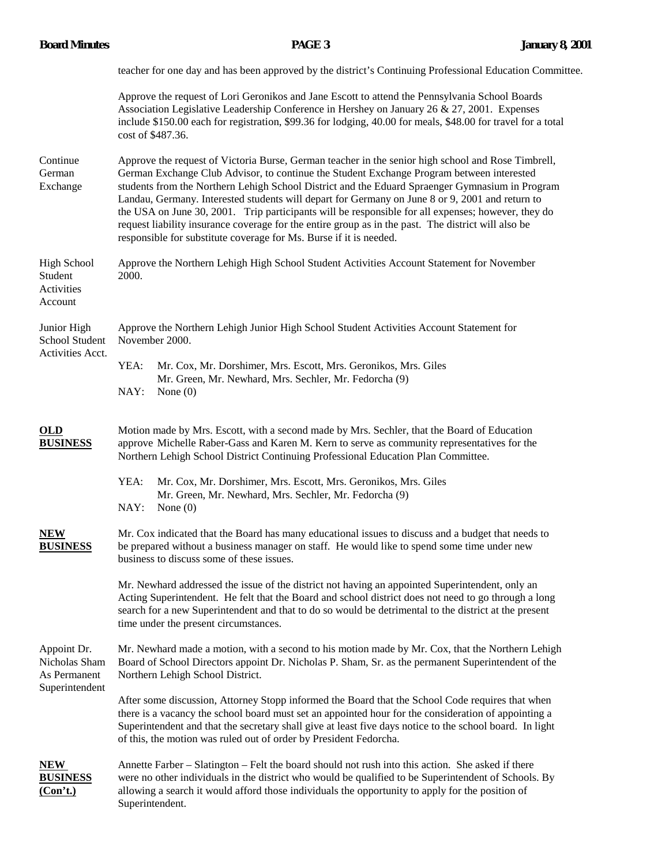teacher for one day and has been approved by the district's Continuing Professional Education Committee.

Approve the request of Lori Geronikos and Jane Escott to attend the Pennsylvania School Boards Association Legislative Leadership Conference in Hershey on January 26 & 27, 2001. Expenses include \$150.00 each for registration, \$99.36 for lodging, 40.00 for meals, \$48.00 for travel for a total cost of \$487.36.

Continue Approve the request of Victoria Burse, German teacher in the senior high school and Rose Timbrell, German German Exchange Club Advisor, to continue the Student Exchange Program between interested Exchange students from the Northern Lehigh School District and the Eduard Spraenger Gymnasium in Program Landau, Germany. Interested students will depart for Germany on June 8 or 9, 2001 and return to the USA on June 30, 2001. Trip participants will be responsible for all expenses; however, they do request liability insurance coverage for the entire group as in the past. The district will also be responsible for substitute coverage for Ms. Burse if it is needed.

High School Approve the Northern Lehigh High School Student Activities Account Statement for November Student 2000.

Activities Account

Junior High Approve the Northern Lehigh Junior High School Student Activities Account Statement for School Student November 2000. Activities Acct.

YEA: Mr. Cox, Mr. Dorshimer, Mrs. Escott, Mrs. Geronikos, Mrs. Giles Mr. Green, Mr. Newhard, Mrs. Sechler, Mr. Fedorcha (9) NAY: None (0)

# **OLD** Motion made by Mrs. Escott, with a second made by Mrs. Sechler, that the Board of Education **BUSINESS** approve Michelle Raber-Gass and Karen M. Kern to serve as community representatives for the Northern Lehigh School District Continuing Professional Education Plan Committee.

- YEA: Mr. Cox, Mr. Dorshimer, Mrs. Escott, Mrs. Geronikos, Mrs. Giles Mr. Green, Mr. Newhard, Mrs. Sechler, Mr. Fedorcha (9) NAY: None (0)
- **NEW** Mr. Cox indicated that the Board has many educational issues to discuss and a budget that needs to **BUSINESS** be prepared without a business manager on staff. He would like to spend some time under new business to discuss some of these issues.

Mr. Newhard addressed the issue of the district not having an appointed Superintendent, only an Acting Superintendent. He felt that the Board and school district does not need to go through a long search for a new Superintendent and that to do so would be detrimental to the district at the present time under the present circumstances.

Appoint Dr. Mr. Newhard made a motion, with a second to his motion made by Mr. Cox, that the Northern Lehigh Nicholas Sham Board of School Directors appoint Dr. Nicholas P. Sham, Sr. as the permanent Superintendent of the As Permanent Northern Lehigh School District. Superintendent

> After some discussion, Attorney Stopp informed the Board that the School Code requires that when there is a vacancy the school board must set an appointed hour for the consideration of appointing a Superintendent and that the secretary shall give at least five days notice to the school board. In light of this, the motion was ruled out of order by President Fedorcha.

**NEW** Annette Farber – Slatington – Felt the board should not rush into this action. She asked if there **BUSINESS** were no other individuals in the district who would be qualified to be Superintendent of Schools. By **(Con't.)** allowing a search it would afford those individuals the opportunity to apply for the position of Superintendent.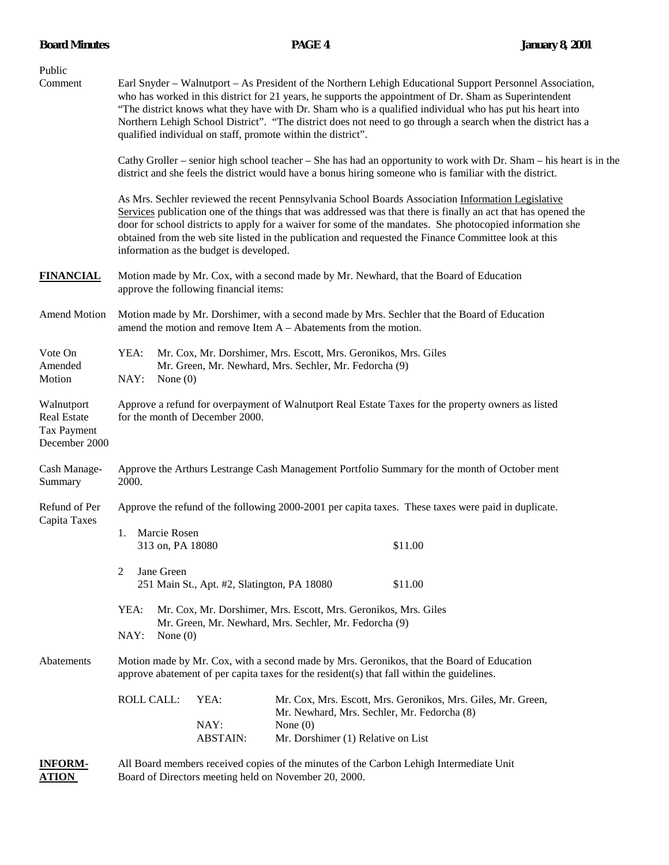| Public<br>Comment                                                       | Earl Snyder – Walnutport – As President of the Northern Lehigh Educational Support Personnel Association,<br>who has worked in this district for 21 years, he supports the appointment of Dr. Sham as Superintendent<br>"The district knows what they have with Dr. Sham who is a qualified individual who has put his heart into<br>Northern Lehigh School District". "The district does not need to go through a search when the district has a<br>qualified individual on staff, promote within the district".<br>Cathy Groller – senior high school teacher – She has had an opportunity to work with Dr. Sham – his heart is in the<br>district and she feels the district would have a bonus hiring someone who is familiar with the district. |  |  |  |  |  |
|-------------------------------------------------------------------------|------------------------------------------------------------------------------------------------------------------------------------------------------------------------------------------------------------------------------------------------------------------------------------------------------------------------------------------------------------------------------------------------------------------------------------------------------------------------------------------------------------------------------------------------------------------------------------------------------------------------------------------------------------------------------------------------------------------------------------------------------|--|--|--|--|--|
|                                                                         |                                                                                                                                                                                                                                                                                                                                                                                                                                                                                                                                                                                                                                                                                                                                                      |  |  |  |  |  |
|                                                                         | As Mrs. Sechler reviewed the recent Pennsylvania School Boards Association Information Legislative<br>Services publication one of the things that was addressed was that there is finally an act that has opened the<br>door for school districts to apply for a waiver for some of the mandates. She photocopied information she<br>obtained from the web site listed in the publication and requested the Finance Committee look at this<br>information as the budget is developed.                                                                                                                                                                                                                                                                |  |  |  |  |  |
| <b>FINANCIAL</b>                                                        | Motion made by Mr. Cox, with a second made by Mr. Newhard, that the Board of Education<br>approve the following financial items:                                                                                                                                                                                                                                                                                                                                                                                                                                                                                                                                                                                                                     |  |  |  |  |  |
| <b>Amend Motion</b>                                                     | Motion made by Mr. Dorshimer, with a second made by Mrs. Sechler that the Board of Education<br>amend the motion and remove Item $A - Ab$ atements from the motion.                                                                                                                                                                                                                                                                                                                                                                                                                                                                                                                                                                                  |  |  |  |  |  |
| Vote On<br>Amended<br>Motion                                            | YEA:<br>Mr. Cox, Mr. Dorshimer, Mrs. Escott, Mrs. Geronikos, Mrs. Giles<br>Mr. Green, Mr. Newhard, Mrs. Sechler, Mr. Fedorcha (9)<br>NAY:<br>None $(0)$                                                                                                                                                                                                                                                                                                                                                                                                                                                                                                                                                                                              |  |  |  |  |  |
| Walnutport<br><b>Real Estate</b><br><b>Tax Payment</b><br>December 2000 | Approve a refund for overpayment of Walnutport Real Estate Taxes for the property owners as listed<br>for the month of December 2000.                                                                                                                                                                                                                                                                                                                                                                                                                                                                                                                                                                                                                |  |  |  |  |  |
| Cash Manage-<br>Summary                                                 | Approve the Arthurs Lestrange Cash Management Portfolio Summary for the month of October ment<br>2000.                                                                                                                                                                                                                                                                                                                                                                                                                                                                                                                                                                                                                                               |  |  |  |  |  |
| Refund of Per<br>Capita Taxes                                           | Approve the refund of the following 2000-2001 per capita taxes. These taxes were paid in duplicate.                                                                                                                                                                                                                                                                                                                                                                                                                                                                                                                                                                                                                                                  |  |  |  |  |  |
|                                                                         | 1. Marcie Rosen<br>\$11.00<br>313 on, PA 18080                                                                                                                                                                                                                                                                                                                                                                                                                                                                                                                                                                                                                                                                                                       |  |  |  |  |  |
|                                                                         | Jane Green<br>2<br>\$11.00<br>251 Main St., Apt. #2, Slatington, PA 18080                                                                                                                                                                                                                                                                                                                                                                                                                                                                                                                                                                                                                                                                            |  |  |  |  |  |
|                                                                         | YEA:<br>Mr. Cox, Mr. Dorshimer, Mrs. Escott, Mrs. Geronikos, Mrs. Giles<br>Mr. Green, Mr. Newhard, Mrs. Sechler, Mr. Fedorcha (9)<br>NAY:<br>None $(0)$                                                                                                                                                                                                                                                                                                                                                                                                                                                                                                                                                                                              |  |  |  |  |  |
| Abatements                                                              | Motion made by Mr. Cox, with a second made by Mrs. Geronikos, that the Board of Education<br>approve abatement of per capita taxes for the resident(s) that fall within the guidelines.                                                                                                                                                                                                                                                                                                                                                                                                                                                                                                                                                              |  |  |  |  |  |
|                                                                         | <b>ROLL CALL:</b><br>YEA:<br>Mr. Cox, Mrs. Escott, Mrs. Geronikos, Mrs. Giles, Mr. Green,<br>Mr. Newhard, Mrs. Sechler, Mr. Fedorcha (8)<br>NAY:<br>None $(0)$<br>Mr. Dorshimer (1) Relative on List<br><b>ABSTAIN:</b>                                                                                                                                                                                                                                                                                                                                                                                                                                                                                                                              |  |  |  |  |  |
| <b>INFORM-</b><br><u>ATION</u>                                          | All Board members received copies of the minutes of the Carbon Lehigh Intermediate Unit<br>Board of Directors meeting held on November 20, 2000.                                                                                                                                                                                                                                                                                                                                                                                                                                                                                                                                                                                                     |  |  |  |  |  |

**Board Minutes 3.1 PAGE 4 PAGE 4 January 8, 2001**